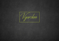Vgarden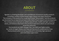# **ABOUT**

Vgarden is a leading developer and manufacturer of premium quality products including a variety of plant based vegan cheese and meat substitutes. The company is the owner of an Israeli local brand "Masumashu" and the products are developed by an experienced team in the field of food research and development. The company puts emphasis on added value of taste, health and high nutritious values, and believes that food is first of all an experience which can and should excite the consumer.

Our products are 100% allergen free, non GMO and highly kosher. Our series of vegan cheese and meat are first out of a whole world of new food products which are being produced in extremely high standard and meticulous supervision.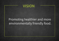### **VISION**

## Promoting healthier and more environmentally friendly food.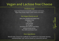### **Vegan and Lactose free Cheese**

#### **Products range**

Vegan hard Cheese (mozzarella, parmesan and more) , Vegan Feta Cheese, Vegan Cream Cheese and more.

#### **Our Vegan Cheese are all**

Dairy free (lactose and casein free) Cholesterol free Soy free Trans fat free No allergens Enriched with calcium and Fibers. without preservatives. Non-GMO and Gluten Free!

#### **Main ingredients**

filtered water, coconut oil, sunflower oil, modified corn and potato starches, nutritional fibers and calcium citrate (as a source for calcium)

Vegan Cheeses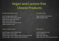# **Vegan and Lactose free Cheese Products**

#### **Gouda/Mozzarela style**

Low fat vegan gouda style Vegan gouda style classic 18% fat Vegan gouda style with olives Vegan mozzarella style Vegan Mozzarella shreds for Pizza vegan parmesan style

#### **Cream cheese style**

Low fat Vegan cream cheese style Vegan cream cheese style Low fat vegan cream cheese style with garlic and dill Low fat vegan cream cheese style with olives

#### **Cheddar style**

Vegan cheddar style sherds Vegan cheddar style

#### **Feta style**

Low fat vegan feta style Vegan Feta Style Vegan feta style spicy Vegan feta style with spices and herbs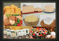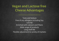## **Vegan and Lactose free Cheese Advantages**

Taste and texture Free of any allergens including Soy Low fat Enriched with calcium and Fibers Wide range of products Long shelf life Flexible adjustment to variety of markets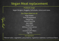### **Vegan Meat replacement**

#### **Products range**

Vegan Burgers, Nuggets, Schnitzels, mince and more.

**Our Vegan Meat are all**

High Protein Free of Cholesterol Free of Soy Free of Trans Fat Non-GMO Gluten Free Without Preservatives Low Fat Enriched with Fibers Egg free

Vegan Meat

**Main ingredients:** 

Filtered water, vegetables, pea proteins, vegetarian stabilizer, nutritional fibers.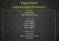## **Vegan Meat replacement Products**

### **BURGERS**

vegan burger vegan beetroot burger

### NUGGETS

pizza nuggets corn nuggets cheese nuggets spicy nuggets

### **MINCE MEAT**

mince meat high protein corn shnitzel meatballs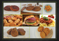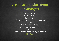# **Vegan Meat replacement Advantages**

Taste and texture Prices stability High protein Free of any allergens including Soy and gluten Low fat Enriched with Fibers Wide range of products Long shelf life Flexible adjustment to variety of markets **NON GMO**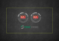